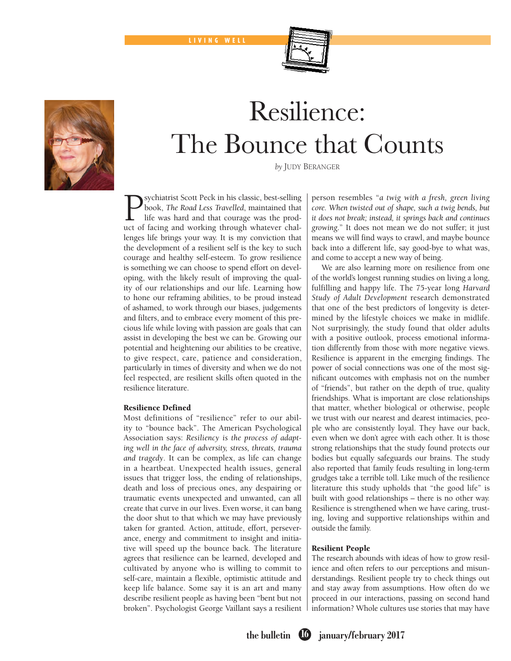LIVING WELL





# Resilience: The Bounce that Counts

*by* Judy Beranger

sychiatrist Scott Peck in his classic, best-selling book, *The Road Less Travelled*, maintained that life was hard and that courage was the product of facing and working through whatever challenges life brings your way. It is my conviction that the development of a resilient self is the key to such courage and healthy self-esteem. To grow resilience is something we can choose to spend effort on developing, with the likely result of improving the quality of our relationships and our life. Learning how to hone our reframing abilities, to be proud instead of ashamed, to work through our biases, judgements and filters, and to embrace every moment of this precious life while loving with passion are goals that can assist in developing the best we can be. Growing our potential and heightening our abilities to be creative, to give respect, care, patience and consideration, particularly in times of diversity and when we do not feel respected, are resilient skills often quoted in the resilience literature.

## Resilience Defined

Most definitions of "resilience" refer to our ability to "bounce back". The American Psychological Association says: *Resiliency is the process of adapting well in the face of adversity, stress, threats, trauma and tragedy*. It can be complex, as life can change in a heartbeat. Unexpected health issues, general issues that trigger loss, the ending of relationships, death and loss of precious ones, any despairing or traumatic events unexpected and unwanted, can all create that curve in our lives. Even worse, it can bang the door shut to that which we may have previously taken for granted. Action, attitude, effort, perseverance, energy and commitment to insight and initiative will speed up the bounce back. The literature agrees that resilience can be learned, developed and cultivated by anyone who is willing to commit to self-care, maintain a flexible, optimistic attitude and keep life balance. Some say it is an art and many describe resilient people as having been "bent but not broken". Psychologist George Vaillant says a resilient person resembles "*a twig with a fresh, green living core. When twisted out of shape, such a twig bends, but it does not break; instead, it springs back and continues growing*." It does not mean we do not suffer; it just means we will find ways to crawl, and maybe bounce back into a different life, say good-bye to what was, and come to accept a new way of being.

We are also learning more on resilience from one of the world's longest running studies on living a long, fulfilling and happy life. The 75-year long *Harvard Study of Adult Development* research demonstrated that one of the best predictors of longevity is determined by the lifestyle choices we make in midlife. Not surprisingly, the study found that older adults with a positive outlook, process emotional information differently from those with more negative views. Resilience is apparent in the emerging findings. The power of social connections was one of the most significant outcomes with emphasis not on the number of "friends", but rather on the depth of true, quality friendships. What is important are close relationships that matter, whether biological or otherwise, people we trust with our nearest and dearest intimacies, people who are consistently loyal. They have our back, even when we don't agree with each other. It is those strong relationships that the study found protects our bodies but equally safeguards our brains. The study also reported that family feuds resulting in long-term grudges take a terrible toll. Like much of the resilience literature this study upholds that "the good life" is built with good relationships – there is no other way. Resilience is strengthened when we have caring, trusting, loving and supportive relationships within and outside the family.

#### Resilient People

The research abounds with ideas of how to grow resilience and often refers to our perceptions and misunderstandings. Resilient people try to check things out and stay away from assumptions. How often do we proceed in our interactions, passing on second hand information? Whole cultures use stories that may have